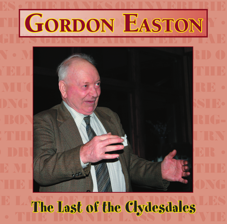

**THE DRUM RANGE ENDING:** 

**DRUM • THE RANDY PIPER • YELLOW ON THE BROOM • THE** 

**MUCKING OF PITTERS OF THE MUCKING OF PITTERS** 

**THE BEGGAR MAN**  $\blacksquare$ 

**THE BARNYARDS OF BEST PRIGHTENE ARRANGEMENT FOR BEST PRIGHTENE BEST PRIGHTENE BEST PRIGHTENE BEST PRIGHTENE BEST PRIGHTENE BEST PRIGHTENE BEST PRIGHTENE BEST PRIGHTENE BEST PRIGHTENE BEST PRIGHTENE BEST PRIGHTENE BEST PRI** 

**GIET GERSE PARK • FEE'D TAE THE DRUM • JAMIE RAEBURN • JAMIE RAEBURN 1989** 

**• DRUM BUCHAN • THE RANDWARE • THE RANDWARE •** 

**E MAIL SERVE STAND OF THE BROOM** 

**MUEL SEE GEORGIE DE BEGGAR MAN 1989 ONG** 

# **E** LATE Let of the Clydeclales **• The Last of the Clydesdales**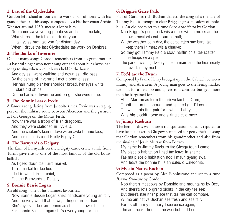#### **1: Last of the Clydesdales**

Gordon left school at fourteen to work a pair of horse with his grandfather - so this song, composed by a Fife horseman Archie Webster around 1950, means a lot to him.

Noo come aa ye young plooboys an 'list tae ma tale,

Wha sit roon the table aa drinkin your ale;

I'll tak ye aa back tae yon far distant day,

When I drove the last Clydesdales tae work on Denbrae.

#### **2: The Banks of Inverurie**

One of many songs Gordon remembers from his grandmother - a bashful singer who never sang out and about but always had songs to sing when a ceilidh was held in the house.

Ane day as I went walking and down as I did pass, By the banks of Inverurie I met a bonnie lass;

Her hair hung o'er her shoulder broad, her eyes white stars did shine,

On the banks o Inverurie and oh gin she were mine.

#### **3: The Bonnie Lass o Fyvie**

A famous song dating from Jacobite times. Fyvie was a staging post on the military route between Aberdeen and the garrison at Fort George on the Moray Firth.

Now there was a troop of Irish dragoons,

And they were stationed in Fyvie O.

And the captain's faan in love wi an awfa bonnie lass, And her name is caad Pretty Peggy O.

#### **4: The Barnyards o Delgaty**

The farm of Barnyards on the Delgaty castle estate a mile from Turriff gave rise to one of the most famous of the old bothy ballads.

As Loaed doun tae Turra market

Turra market for tae fee,

I fell in wi a fairmer chiel,

Fae the Barnyards o Delgaty.

#### **5: Bonnie Bessie Logan**

An old song - one of his grannie's favourites.

Now Bonnie Bessie Logan she's handsome young an fair, And the very wind that blaws, it lingers in her hair; She's aye sae fleet an bonnie as she steps ower the lea, For bonnie Bessie Logan she's ower young for me.

# **6: Briggie's Gerse Park**

Full of Gordon's rich Buchan dialect, the song tells the tale of Tammy Reid's attempt to clear Briggie's grass meadow of molehills. An old poem set to a tune *Cock o the North* by Gordon.

Noo Briggie's gerse park wis a mess wi the moles an the nowts meat wis cut doun be half;

- Wi the weather bein dry, the gerse etten sae bare, tae keep them in meat wis a chauve;
- So they got Tammy Reid a stout halflin chiel tae scatter the heaps wi a spad.
- The park it wis big, twenty acre an mair, and the heat nearly drave Tammy mad.

# **7: Fee'd tae the Drum**

Composed by Frank Henry brought up in the Cabrach between Huntly and Aberdeen. A young man goes to the feeing market tae look for a new job and agrees to a contract but gets more than he bargained for.

At ae Martinmas term the grieve fae the Drum,

Tappit me on the shouder and spiered gin I'd come

Tae watch his first pair for a winter half year,

Wi a big cleekit horse and a ringle ee'd meer.

#### **8: Jimmy Raeburn**

The hero of this well known transportation ballad is reputed to have been a baker in Glasgow sentenced for petty theft - a song that Gordon remembers from his grandmother and also from the singing of Jessie Murray from Portsoy.

My name is Jimmy Raeburn fae Glesga toun I came,

My place o habitation I had tae leave in shame;

Fae ma place o habitation noo I maun gyang awa, And leave the bonnie hills an dales o Caledonia.

#### **9: My ain Native Buchan**

Composed as a poem by Alec Elphinstone and set to a tune *Bonnie Strathyre* by Gordon.

Noo there's meadows by Donside and mountains by Dee, And there's lots o grand sichts in the city tae see; But there's nae ither place that tae me can compare,

Wi ma ain native Buchan sae fresh and sae fair.

For its oft in my memory I see eence again,

The aul thackit hoosie, the wee but and ben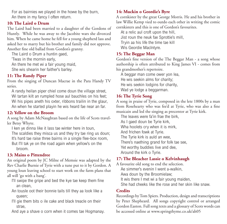For as bairnies we played in the howe by the burn, An there in my fancy I often return.

#### **10: The Laird o Drum**

The Laird had been married to a daughter of the Gordons of Huntly. While he was away to the Jacobite wars she divorced him. When he came home he fell for a young shepherd lass and asked her to marry but his brother and family did not approve. Another fine old ballad from Gordon's granny.

The Laird o Drum a huntin gaed,

'Twas in the mornin early,

An there he met wi a fair young maid,

She wis shearin her faither's barley.

# **11: The Randy Piper**

From the singing of Duncan Macrae in the Para Handy TV series.

A randy heilan piper chiel come doun the village street, Wi tartan kilt an rumpled hose aul bauchles on his feet; Wi his pipes aneth his oxter, ribbons trailin in the glaur, An when he started playin he wis heard fae near an far.

#### **12: Yellow on the Broom**

A song by Adam McNaughtan based on the life of Scots traveller Betsy Whyte.

I ken ye dinna like it lass tae winter here in toun, The scaldies they misca us and they try tae ring us doun; It's hard tae raise three bairns in a single flee-box room, But I'll tak ye on the road again when yellow's on the broom.

#### **13: Mains o Pittendree**

An original poem by JC Milne of Memsie was adapted by the Rev Charlie Burnie of Tyrie with a tune put to it by Gordon. A young loun leaving school to start work on the farm plans that all will 'go with a bang'.

- I'll swipe the gripe and bed the kye tae keep them fine an clean,
- An tousle oot their bonnie tails till they aa look like a queen;
- I'll gie them bits o ile cake and black treacle on their strae,

And aye a shave o corn when it comes tae Hogmanay.

#### **14: Muckin o Geordie's Byre**

A cornkister by the great George Morris. He and his brother in law Willie Kemp vied to outdo each other in writing the comic cornkisters and this is one of Gordon's favourites.

At a relic aul croft upon the hill,

Jist roun the neuk fae Sprottie's mill,

Tryin aa his life the time tae kill

Wis Geordie MacIntyre.

#### **15: The Beggar Man**

Gordon's fine version of the The Beggar Man - a song whose authorship is often attributed to King James VI - comes from his grandmother's repertoire.

A beggar man come ower yon lea, He wis seekin alms for charity; He wis seekin lodgins for charity, Wad ye lodge a beggarman.

#### **16: The Tyrie Song**

A song in praise of Tyrie, composed in the lete 1800s by a man from Rosehearty who was fee'd at Tyrie, who was also a fine

musicain and led the singing as precentor at Tyrie kirk.

The leaves were fa'in frae the birk,

As I gaed doun be Tyrie kirk.

Wha hoolets cry when it is mirk,

And frichen fowk at Tyrie.

The Tyrie kirk is auld an wee,

There's naething grand for folk tae see,

Yet worthy buddies live and dee,

Around the kirk o Tyrie.

# **17: The Bleacher Lassie o Kelvinhaugh**

A favourite old song to end the selection. Ae simmer's evenin I went a-walkin, Awa doun by the Broomielaw; It wis there I met wi a fair young maiden, She had cheeks like the rose and her skin like snaw.

# **Credits**

Recordings by Tom Spiers. Production, design and transcriptions by Peter Shepheard. All songs copyright control or arranged Gordon Easton. Full song texts and a glossary of Scots words can be accessed online at www.springthyme.co.uk/ah05